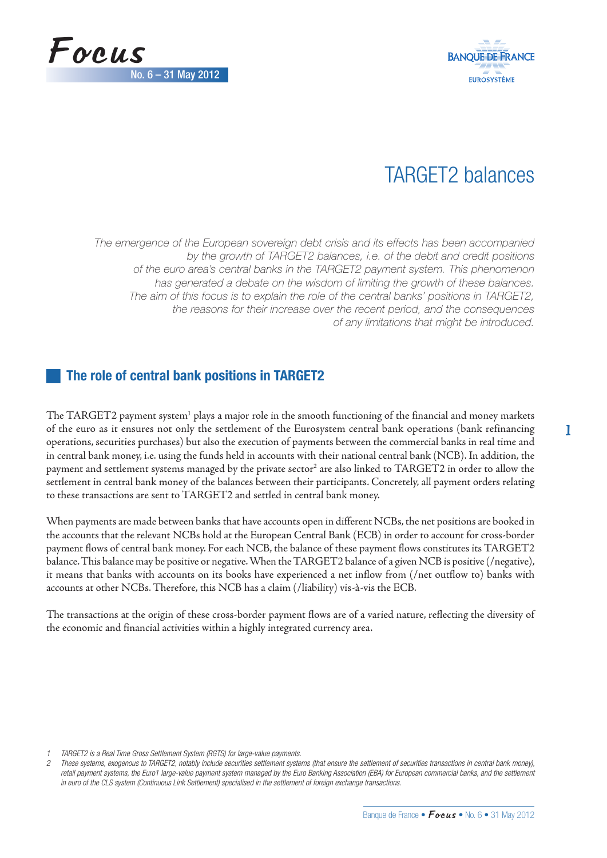



# TARGET2 balances

The emergence of the European sovereign debt crisis and its effects has been accompanied by the growth of TARGET2 balances, i.e. of the debit and credit positions of the euro area's central banks in the TARGET2 payment system. This phenomenon has generated a debate on the wisdom of limiting the growth of these balances. The aim of this focus is to explain the role of the central banks' positions in TARGET2, the reasons for their increase over the recent period, and the consequences of any limitations that might be introduced.

# **The role of central bank positions in TARGET2**

The TARGET2 payment system $^{\rm l}$  plays a major role in the smooth functioning of the financial and money markets of the euro as it ensures not only the settlement of the Eurosystem central bank operations (bank refinancing operations, securities purchases) but also the execution of payments between the commercial banks in real time and in central bank money, i.e. using the funds held in accounts with their national central bank (NCB). In addition, the payment and settlement systems managed by the private sector $^{\rm 2}$  are also linked to  ${\rm TARGET2}$  in order to allow the settlement in central bank money of the balances between their participants. Concretely, all payment orders relating to these transactions are sent to TARGET2 and settled in central bank money.

When payments are made between banks that have accounts open in different NCBs, the net positions are booked in the accounts that the relevant NCBs hold at the European Central Bank (ECB) in order to account for cross-border payment flows of central bank money. For each NCB, the balance of these payment flows constitutes its TARGET2 balance. This balance may be positive or negative. When the TARGET2 balance of a given NCB is positive (/negative), it means that banks with accounts on its books have experienced a net inflow from (/net outflow to) banks with accounts at other NCBs. Therefore, this NCB has a claim (/liability) vis-à-vis the ECB.

The transactions at the origin of these cross-border payment flows are of a varied nature, reflecting the diversity of the economic and financial activities within a highly integrated currency area.

1 TARGET2 is a Real Time Gross Settlement System (RGTS) for large-value payments.

<sup>2</sup> These systems, exogenous to TARGET2, notably include securities settlement systems (that ensure the settlement of securities transactions in central bank money), retail payment systems, the Euro1 large-value payment system managed by the Euro Banking Association (EBA) for European commercial banks, and the settlement in euro of the CLS system (Continuous Link Settlement) specialised in the settlement of foreign exchange transactions.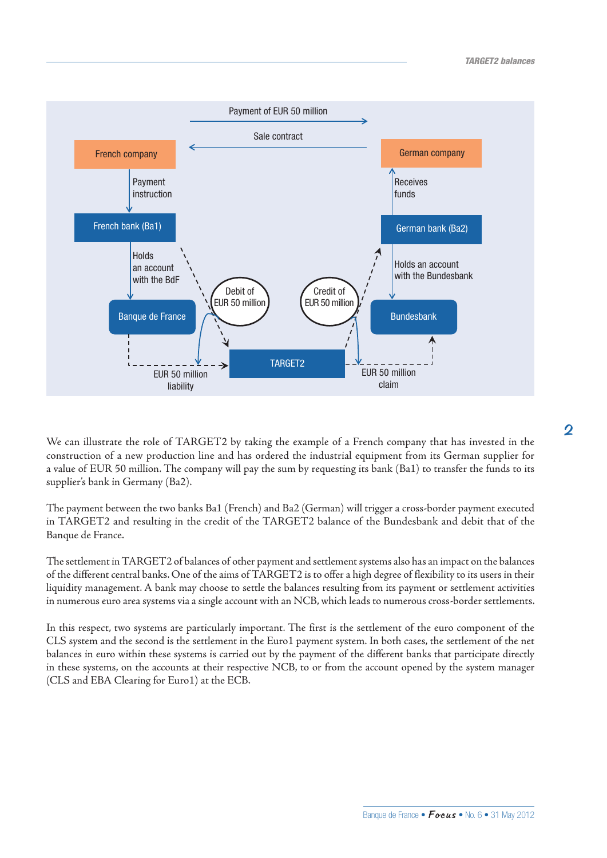

We can illustrate the role of TARGET2 by taking the example of a French company that has invested in the construction of a new production line and has ordered the industrial equipment from its German supplier for a value of EUR 50 million. The company will pay the sum by requesting its bank (Ba1) to transfer the funds to its supplier's bank in Germany (Ba2).

The payment between the two banks Ba1 (French) and Ba2 (German) will trigger a cross-border payment executed in TARGET2 and resulting in the credit of the TARGET2 balance of the Bundesbank and debit that of the Banque de France.

The settlement in TARGET2 of balances of other payment and settlement systems also has an impact on the balances of the different central banks. One of the aims of TARGET2 is to offer a high degree of flexibility to its users in their liquidity management. A bank may choose to settle the balances resulting from its payment or settlement activities in numerous euro area systems via a single account with an NCB, which leads to numerous cross-border settlements.

In this respect, two systems are particularly important. The first is the settlement of the euro component of the CLS system and the second is the settlement in the Euro1 payment system. In both cases, the settlement of the net balances in euro within these systems is carried out by the payment of the different banks that participate directly in these systems, on the accounts at their respective NCB, to or from the account opened by the system manager (CLS and EBA Clearing for Euro1) at the ECB.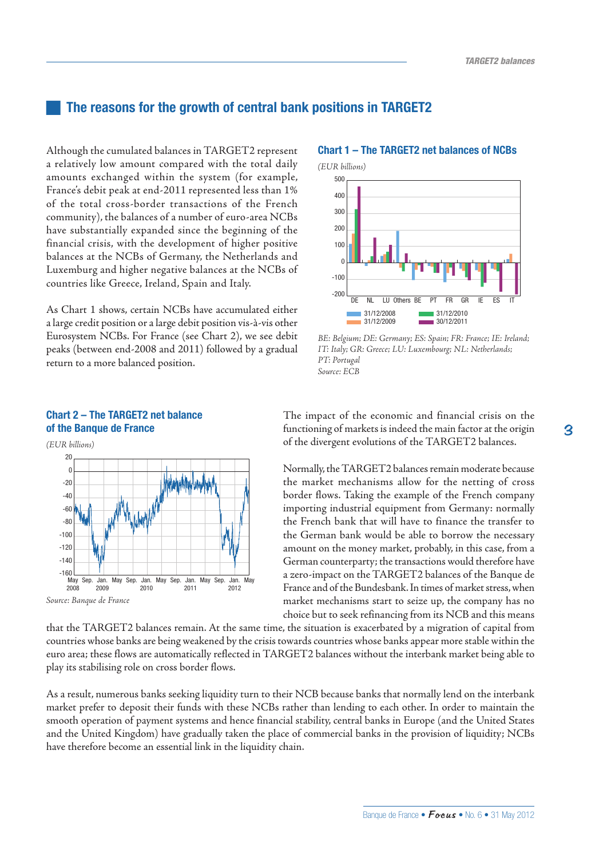## **The reasons for the growth of central bank positions in TARGET2**

Although the cumulated balances in TARGET2 represent a relatively low amount compared with the total daily amounts exchanged within the system (for example, France's debit peak at end-2011 represented less than 1% of the total cross-border transactions of the French community), the balances of a number of euro-area NCBs have substantially expanded since the beginning of the financial crisis, with the development of higher positive balances at the NCBs of Germany, the Netherlands and Luxemburg and higher negative balances at the NCBs of countries like Greece, Ireland, Spain and Italy.

As Chart 1 shows, certain NCBs have accumulated either a large credit position or a large debit position vis-à-vis other Eurosystem NCBs. For France (see Chart 2), we see debit peaks (between end-2008 and 2011) followed by a gradual return to a more balanced position.

#### *(EUR billions)* -160 -140  $-R<sub>0</sub>$ -60 -40 -20  $\Omega$ 20 May Sep. Jan. 2008 2009  $May$  Sep. 2010 Jan. May Sep. 2011 Jan. May Sep. 2012  $-120$ -100 Jan May

**Chart 2 – The TARGET2 net balance** 

**of the Banque de France**

*Source: Banque de France*



**Chart 1 – The TARGET2 net balances of NCBs**

### *BE: Belgium; DE: Germany; ES: Spain; FR: France; IE: Ireland; IT: Italy; GR: Greece; LU: Luxembourg; NL: Netherlands; PT: Portugal Source: ECB*

The impact of the economic and financial crisis on the functioning of markets is indeed the main factor at the origin of the divergent evolutions of the TARGET2 balances.

Normally, the TARGET2 balances remain moderate because the market mechanisms allow for the netting of cross border flows. Taking the example of the French company importing industrial equipment from Germany: normally the French bank that will have to finance the transfer to the German bank would be able to borrow the necessary amount on the money market, probably, in this case, from a German counterparty; the transactions would therefore have a zero-impact on the TARGET2 balances of the Banque de France and of the Bundesbank. In times of market stress, when market mechanisms start to seize up, the company has no choice but to seek refinancing from its NCB and this means

that the TARGET2 balances remain. At the same time, the situation is exacerbated by a migration of capital from countries whose banks are being weakened by the crisis towards countries whose banks appear more stable within the euro area; these flows are automatically reflected in TARGET2 balances without the interbank market being able to play its stabilising role on cross border flows.

As a result, numerous banks seeking liquidity turn to their NCB because banks that normally lend on the interbank market prefer to deposit their funds with these NCBs rather than lending to each other. In order to maintain the smooth operation of payment systems and hence financial stability, central banks in Europe (and the United States and the United Kingdom) have gradually taken the place of commercial banks in the provision of liquidity; NCBs have therefore become an essential link in the liquidity chain.